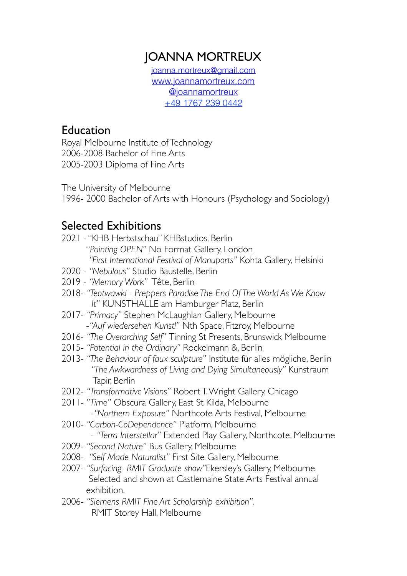# JOANNA MORTREUX

[joanna.mortreux@gmail.com](mailto:joanna.mortreux@gmail.com)  [www.joannamortreux.com](http://www.joannamortreux.com) [@joannamortreux](https://www.instagram.com/joannamortreux/?hl=en) +49 1767 239 0442

### Education

Royal Melbourne Institute of Technology 2006-2008 Bachelor of Fine Arts 2005-2003 Diploma of Fine Arts

The University of Melbourne

1996- 2000 Bachelor of Arts with Honours (Psychology and Sociology)

# Selected Exhibitions

- 2021 "KHB Herbstschau" KHBstudios, Berlin "*Painting OPEN"* No Format Gallery, London *"First International Festival of Manuports"* Kohta Gallery, Helsinki
- 2020 *"Nebulous"* Studio Baustelle, Berlin
- 2019 *"Memory Work"* Tête, Berlin
- 2018- *"Teotwawki Preppers Paradise The End Of The World As We Know It"* KUNSTHALLE am Hamburger Platz, Berlin
- 2017- *"Primacy"* Stephen McLaughlan Gallery, Melbourne -*"Auf wiedersehen Kunst!"* Nth Space, Fitzroy, Melbourne
- 2016- *"The Overarching Self"* Tinning St Presents, Brunswick Melbourne
- 2015- *"Potential in the Ordinary"* Rockelmann &, Berlin
- 2013- *"The Behaviour of faux sculpture"* Institute für alles mögliche, Berlin *"The Awkwardness of Living and Dying Simultaneously"* Kunstraum Tapir, Berlin
- 2012- *"Transformative Visions"* Robert T. Wright Gallery, Chicago
- 2011- *"Time"* Obscura Gallery, East St Kilda, Melbourne -*"Northern Exposure"* Northcote Arts Festival, Melbourne
- 2010- *"Carbon-CoDependence"* Platform, Melbourne
	- *"Terra Interstellar"* Extended Play Gallery, Northcote, Melbourne
- 2009- *"Second Nature"* Bus Gallery, Melbourne
- 2008- *"Self Made Naturalist"* First Site Gallery, Melbourne
- 2007- *"Surfacing- RMIT Graduate show"*Ekersley's Gallery, Melbourne Selected and shown at Castlemaine State Arts Festival annual exhibition.
- 2006- *"Siemens RMIT Fine Art Scholarship exhibition".* RMIT Storey Hall, Melbourne